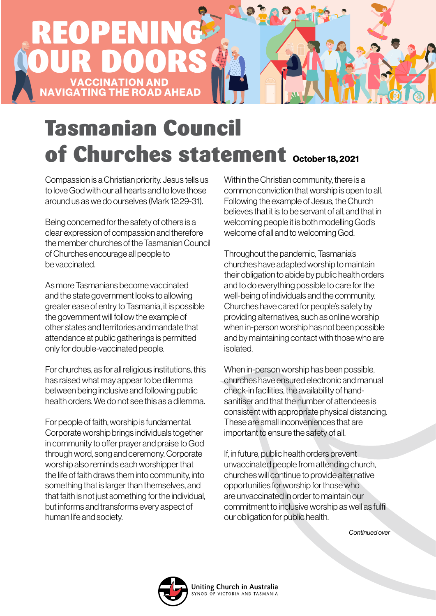

## Tasmanian Council of Churches statement October 18, 2021

Compassion is a Christian priority. Jesus tells us to love God with our all hearts and to love those around us as we do ourselves (Mark 12:29-31).

Being concerned for the safety of others is a clear expression of compassion and therefore the member churches of the Tasmanian Council of Churches encourage all people to be vaccinated.

As more Tasmanians become vaccinated and the state government looks to allowing greater ease of entry to Tasmania, it is possible the government will follow the example of other states and territories and mandate that attendance at public gatherings is permitted only for double-vaccinated people.

For churches, as for all religious institutions, this has raised what may appear to be dilemma between being inclusive and following public health orders. We do not see this as a dilemma.

For people of faith, worship is fundamental. Corporate worship brings individuals together in community to offer prayer and praise to God through word, song and ceremony. Corporate worship also reminds each worshipper that the life of faith draws them into community, into something that is larger than themselves, and that faith is not just something for the individual, but informs and transforms every aspect of human life and society.

Within the Christian community, there is a common conviction that worship is open to all. Following the example of Jesus, the Church believes that it is to be servant of all, and that in welcoming people it is both modelling God's welcome of all and to welcoming God.

Throughout the pandemic, Tasmania's churches have adapted worship to maintain their obligation to abide by public health orders and to do everything possible to care for the well-being of individuals and the community. Churches have cared for people's safety by providing alternatives, such as online worship when in-person worship has not been possible and by maintaining contact with those who are isolated.

When in-person worship has been possible, churches have ensured electronic and manual check-in facilities, the availability of handsanitiser and that the number of attendees is consistent with appropriate physical distancing. These are small inconveniences that are important to ensure the safety of all.

If, in future, public health orders prevent unvaccinated people from attending church, churches will continue to provide alternative opportunities for worship for those who are unvaccinated in order to maintain our commitment to inclusive worship as well as fulfil our obligation for public health.

*Continued over*